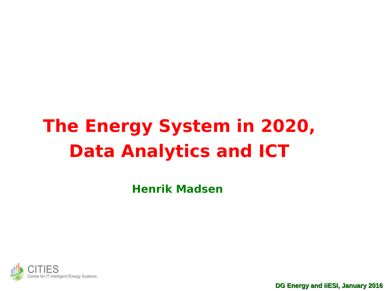# **The Energy System in 2020, Data Analytics and ICT**

**Henrik Madsen** 



**DG Energy and iiESI, January 2016**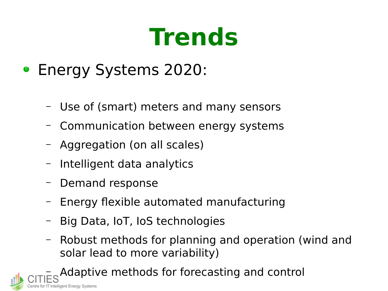# **Trends**

- Energy Systems 2020:
	- Use of (smart) meters and many sensors
	- Communication between energy systems
	- Aggregation (on all scales)
	- Intelligent data analytics
	- Demand response
	- Energy flexible automated manufacturing
	- Big Data, IoT, IoS technologies
	- Robust methods for planning and operation (wind and solar lead to more variability)

– Adaptive methods for forecasting and controlIntelligent Energy Systems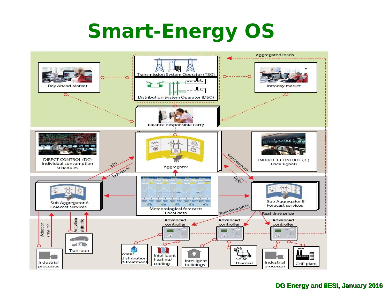## **Smart-Energy OS**



#### **DG Energy and iiESI, January 2016**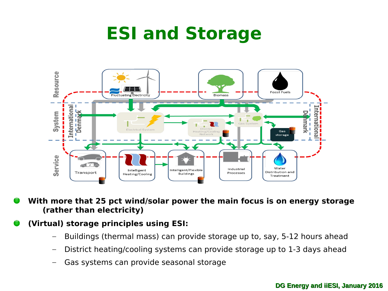### **ESI and Storage**



**With more that 25 pct wind/solar power the main focus is on energy storage (rather than electricity)** 

### **(Virtual) storage principles using ESI:**

- Buildings (thermal mass) can provide storage up to, say, 5-12 hours ahead
- District heating/cooling systems can provide storage up to 1-3 days ahead
- Gas systems can provide seasonal storage

#### **DG Energy and iiESI, January 2016**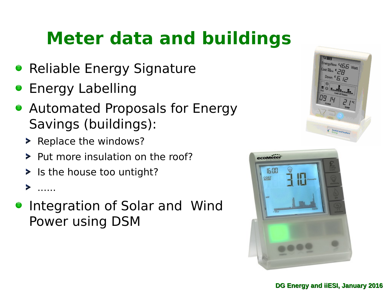### **Meter data and buildings**

- **Reliable Energy Signature**
- **Energy Labelling**
- **Automated Proposals for Energy** Savings (buildings):
	- > Replace the windows?
	- > Put more insulation on the roof?
	- Is the house too untight?
	- $\blacktriangleright$  ......
- **Integration of Solar and Wind** Power using DSM